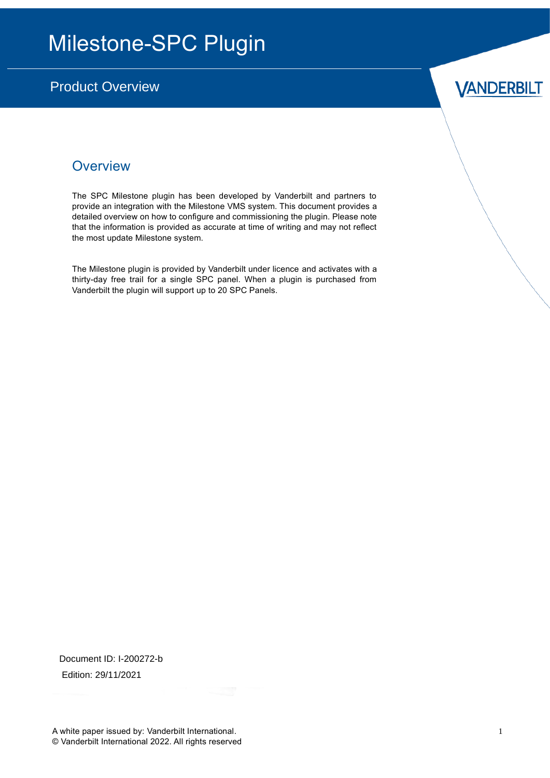## Milestone-SPC Plugin

### Product Overview

## **VANDERBILT**

### **Overview**

The SPC Milestone plugin has been developed by Vanderbilt and partners to provide an integration with the Milestone VMS system. This document provides a detailed overview on how to configure and commissioning the plugin. Please note that the information is provided as accurate at time of writing and may not reflect the most update Milestone system.

The Milestone plugin is provided by Vanderbilt under licence and activates with a thirty-day free trail for a single SPC panel. When a plugin is purchased from Vanderbilt the plugin will support up to 20 SPC Panels.

Document ID: I-200272-b Edition: 29/11/2021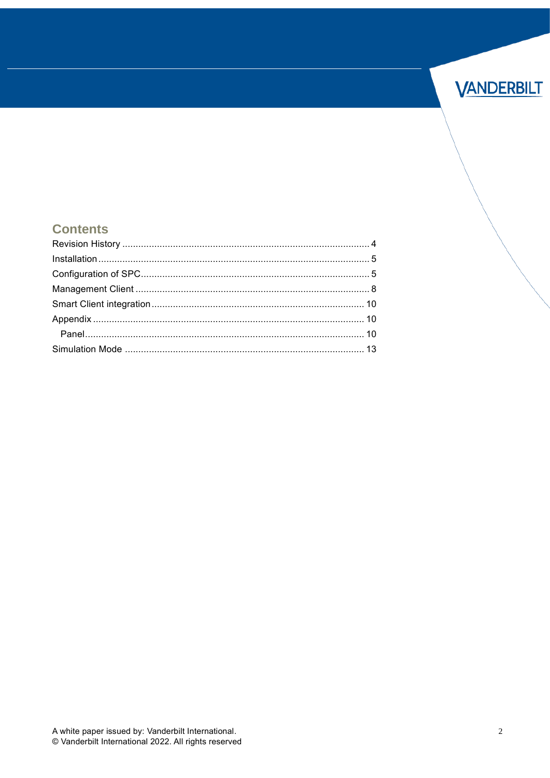

#### **Contents**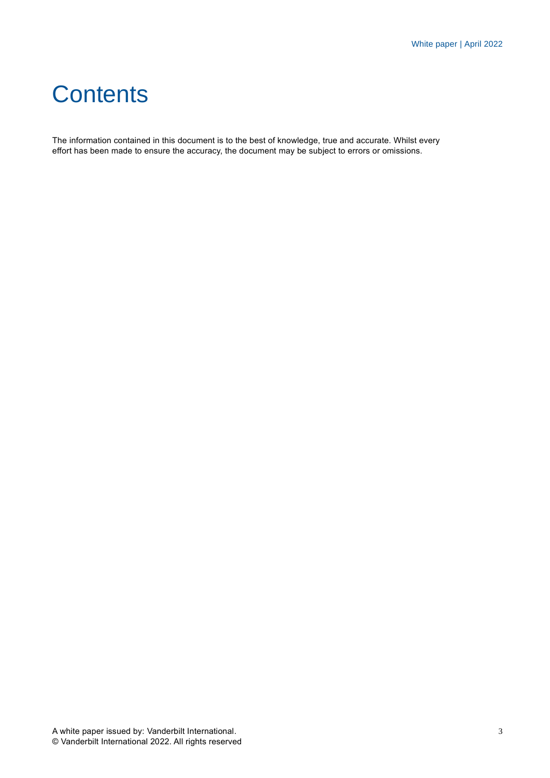## **Contents**

The information contained in this document is to the best of knowledge, true and accurate. Whilst every effort has been made to ensure the accuracy, the document may be subject to errors or omissions.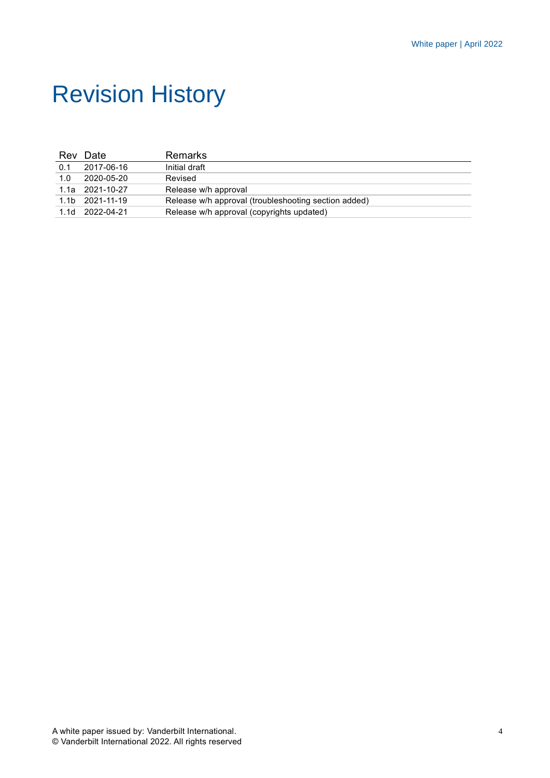## <span id="page-3-0"></span>Revision History

|     | Rev Date          | <b>Remarks</b>                                       |
|-----|-------------------|------------------------------------------------------|
| 0.1 | 2017-06-16        | Initial draft                                        |
| 1.0 | 2020-05-20        | Revised                                              |
|     | $1.1a$ 2021-10-27 | Release w/h approval                                 |
|     | 1.1b 2021-11-19   | Release w/h approval (troubleshooting section added) |
|     | 1.1d 2022-04-21   | Release w/h approval (copyrights updated)            |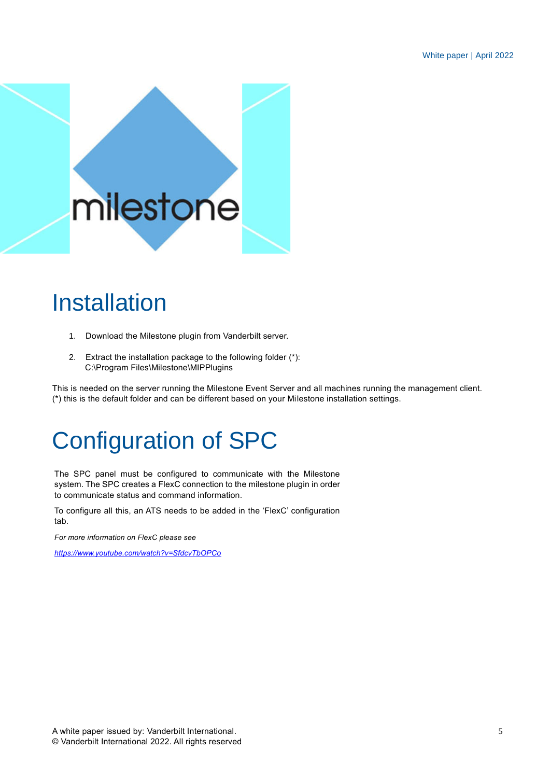

## <span id="page-4-0"></span>Installation

- 1. Download the Milestone plugin from Vanderbilt server.
- 2. Extract the installation package to the following folder (\*): C:\Program Files\Milestone\MIPPlugins

This is needed on the server running the Milestone Event Server and all machines running the management client. (\*) this is the default folder and can be different based on your Milestone installation settings.

# <span id="page-4-1"></span>Configuration of SPC

The SPC panel must be configured to communicate with the Milestone system. The SPC creates a FlexC connection to the milestone plugin in order to communicate status and command information.

To configure all this, an ATS needs to be added in the 'FlexC' configuration tab.

*For more information on FlexC please see*

*<https://www.youtube.com/watch?v=SfdcvTbOPCo>*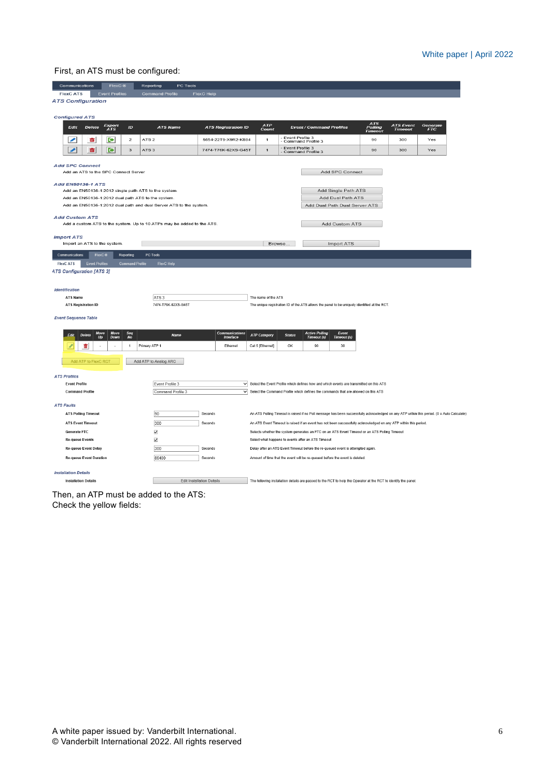#### First, an ATS must be configured:

| Communications                                                         | FlexC ®                                                                                             |                         | Reporting              |                                      | PC Tools |                                  |                            |                     |              |                 |                                                    |                                                                                           |                                                                                                                                            |                                    |                        |  |
|------------------------------------------------------------------------|-----------------------------------------------------------------------------------------------------|-------------------------|------------------------|--------------------------------------|----------|----------------------------------|----------------------------|---------------------|--------------|-----------------|----------------------------------------------------|-------------------------------------------------------------------------------------------|--------------------------------------------------------------------------------------------------------------------------------------------|------------------------------------|------------------------|--|
| <b>FlexC ATS</b>                                                       | <b>Event Profiles</b>                                                                               |                         | <b>Command Profile</b> |                                      |          | <b>FlexC Help</b>                |                            |                     |              |                 |                                                    |                                                                                           |                                                                                                                                            |                                    |                        |  |
| <b>ATS Configuration</b>                                               |                                                                                                     |                         |                        |                                      |          |                                  |                            |                     |              |                 |                                                    |                                                                                           |                                                                                                                                            |                                    |                        |  |
|                                                                        |                                                                                                     |                         |                        |                                      |          |                                  |                            |                     |              |                 |                                                    |                                                                                           |                                                                                                                                            |                                    |                        |  |
| <b>Configured ATS</b>                                                  |                                                                                                     |                         |                        |                                      |          |                                  |                            |                     |              |                 |                                                    |                                                                                           |                                                                                                                                            |                                    |                        |  |
| Edit<br>Delete                                                         | Export<br>ATS                                                                                       | ID                      |                        | <b>ATS Name</b>                      |          |                                  | <b>ATS Registration ID</b> |                     | ATP<br>Count |                 | <b>Event / Command Profiles</b>                    |                                                                                           | ATS<br>Polling<br>Timeout                                                                                                                  | <b>ATS Event</b><br><b>Timeout</b> | Generate<br><b>FTC</b> |  |
| ◢<br>面                                                                 | IЭ                                                                                                  | $\overline{\mathbf{2}}$ | ATS <sub>2</sub>       |                                      |          |                                  | 5654-22T9-X9R2-K884        |                     | $\mathbf{1}$ | Event Profile 3 | Command Profile 3                                  |                                                                                           | 90                                                                                                                                         | 300                                | Yes                    |  |
| ◢<br>畵                                                                 | <b>D</b>                                                                                            | 3                       | ATS <sub>3</sub>       |                                      |          |                                  | 7474-T76K-62XS-G45T        |                     | $\mathbf{1}$ | Event Profile 3 | Command Profile 3                                  |                                                                                           | 90                                                                                                                                         | 300                                | Yes                    |  |
|                                                                        |                                                                                                     |                         |                        |                                      |          |                                  |                            |                     |              |                 |                                                    |                                                                                           |                                                                                                                                            |                                    |                        |  |
| <b>Add SPC Connect</b>                                                 |                                                                                                     |                         |                        |                                      |          |                                  |                            |                     |              |                 |                                                    |                                                                                           |                                                                                                                                            |                                    |                        |  |
| Add an ATS to the SPC Connect Server                                   |                                                                                                     |                         |                        |                                      |          |                                  |                            |                     |              |                 |                                                    | Add SPC Connect                                                                           |                                                                                                                                            |                                    |                        |  |
| <b>Add EN50136-1 ATS</b>                                               |                                                                                                     |                         |                        |                                      |          |                                  |                            |                     |              |                 |                                                    |                                                                                           |                                                                                                                                            |                                    |                        |  |
| Add an EN50136-1:2012 single path ATS to the system.                   |                                                                                                     |                         |                        |                                      |          |                                  |                            |                     |              |                 |                                                    | Add Single Path ATS                                                                       |                                                                                                                                            |                                    |                        |  |
| Add an EN50136-1:2012 dual path ATS to the system.                     |                                                                                                     |                         |                        |                                      |          |                                  |                            |                     |              |                 |                                                    | Add Dual Path ATS                                                                         |                                                                                                                                            |                                    |                        |  |
|                                                                        | Add an EN50136-1:2012 dual path and dual Server ATS to the system.<br>Add Dual Path Dual Server ATS |                         |                        |                                      |          |                                  |                            |                     |              |                 |                                                    |                                                                                           |                                                                                                                                            |                                    |                        |  |
| <b>Add Custom ATS</b>                                                  |                                                                                                     |                         |                        |                                      |          |                                  |                            |                     |              |                 |                                                    |                                                                                           |                                                                                                                                            |                                    |                        |  |
| Add a custom ATS to the system. Up to 10 ATPs may be added to the ATS. |                                                                                                     |                         |                        |                                      |          |                                  |                            |                     |              |                 |                                                    | <b>Add Custom ATS</b>                                                                     |                                                                                                                                            |                                    |                        |  |
|                                                                        |                                                                                                     |                         |                        |                                      |          |                                  |                            |                     |              |                 |                                                    |                                                                                           |                                                                                                                                            |                                    |                        |  |
| <b>Import ATS</b>                                                      |                                                                                                     |                         |                        |                                      |          |                                  |                            |                     |              |                 |                                                    |                                                                                           |                                                                                                                                            |                                    |                        |  |
| Import an ATS to the system.                                           |                                                                                                     |                         |                        |                                      |          |                                  |                            |                     | Browse.      |                 |                                                    | <b>Import ATS</b>                                                                         |                                                                                                                                            |                                    |                        |  |
| Communications                                                         | FlexC®                                                                                              | Reporting               | PC Tools               |                                      |          |                                  |                            |                     |              |                 |                                                    |                                                                                           |                                                                                                                                            |                                    |                        |  |
| <b>Event Profiles</b><br><b>FlexC ATS</b>                              |                                                                                                     | <b>Command Profile</b>  |                        | <b>FlexC Help</b>                    |          |                                  |                            |                     |              |                 |                                                    |                                                                                           |                                                                                                                                            |                                    |                        |  |
| <b>ATS Configuration [ATS 3]</b>                                       |                                                                                                     |                         |                        |                                      |          |                                  |                            |                     |              |                 |                                                    |                                                                                           |                                                                                                                                            |                                    |                        |  |
|                                                                        |                                                                                                     |                         |                        |                                      |          |                                  |                            |                     |              |                 |                                                    |                                                                                           |                                                                                                                                            |                                    |                        |  |
| <b>Identification</b>                                                  |                                                                                                     |                         |                        |                                      |          |                                  |                            |                     |              |                 |                                                    |                                                                                           |                                                                                                                                            |                                    |                        |  |
| ATS Name                                                               |                                                                                                     |                         | ATS <sub>3</sub>       |                                      |          |                                  |                            | The name of the ATS |              |                 |                                                    |                                                                                           |                                                                                                                                            |                                    |                        |  |
| <b>ATS Registration ID</b>                                             |                                                                                                     |                         |                        | 7474-T76K-62XS-G45T                  |          |                                  |                            |                     |              |                 |                                                    |                                                                                           | The unique registration ID of the ATS allows the panel to be uniquely identified at the RCT.                                               |                                    |                        |  |
|                                                                        |                                                                                                     |                         |                        |                                      |          |                                  |                            |                     |              |                 |                                                    |                                                                                           |                                                                                                                                            |                                    |                        |  |
| <b>Event Sequence Table</b>                                            |                                                                                                     |                         |                        |                                      |          |                                  |                            |                     |              |                 |                                                    |                                                                                           |                                                                                                                                            |                                    |                        |  |
|                                                                        | Move<br>Move                                                                                        | Seq                     |                        |                                      |          |                                  | Communications             |                     |              |                 | <b>Active Polling</b>                              | Event                                                                                     |                                                                                                                                            |                                    |                        |  |
| Delete<br>Edit                                                         | Up<br>Down                                                                                          | <b>No</b>               |                        | <b>Name</b>                          |          |                                  | Interface                  | <b>ATP Category</b> |              | <b>Status</b>   | Timeout (s)                                        | <b>Timeout (s)</b>                                                                        |                                                                                                                                            |                                    |                        |  |
| 畵                                                                      |                                                                                                     | $\mathbf{1}$            | Primary ATP 1          |                                      |          |                                  | Ethernet                   | Cat 5 [Ethernet]    |              | OK              | 90                                                 | 30                                                                                        |                                                                                                                                            |                                    |                        |  |
|                                                                        |                                                                                                     |                         |                        |                                      |          |                                  |                            |                     |              |                 |                                                    |                                                                                           |                                                                                                                                            |                                    |                        |  |
| Add ATP to FlexC RCT                                                   |                                                                                                     |                         | Add ATP to Analog ARC  |                                      |          |                                  |                            |                     |              |                 |                                                    |                                                                                           |                                                                                                                                            |                                    |                        |  |
|                                                                        |                                                                                                     |                         |                        |                                      |          |                                  |                            |                     |              |                 |                                                    |                                                                                           |                                                                                                                                            |                                    |                        |  |
| <b>ATS Profiles</b><br><b>Event Profile</b>                            |                                                                                                     |                         |                        |                                      |          |                                  |                            |                     |              |                 |                                                    |                                                                                           |                                                                                                                                            |                                    |                        |  |
| <b>Command Profile</b>                                                 |                                                                                                     |                         |                        | Event Profile 3<br>Command Profile 3 |          |                                  |                            |                     |              |                 |                                                    | $\vee$ Select the Command Profile which defines the commands that are allowed on this ATS | $\vee$ Select the Event Profile which defines how and which events are transmitted on this ATS                                             |                                    |                        |  |
|                                                                        |                                                                                                     |                         |                        |                                      |          |                                  |                            |                     |              |                 |                                                    |                                                                                           |                                                                                                                                            |                                    |                        |  |
| <b>ATS Faults</b>                                                      |                                                                                                     |                         |                        |                                      |          |                                  |                            |                     |              |                 |                                                    |                                                                                           |                                                                                                                                            |                                    |                        |  |
| <b>ATS Polling Timeout</b>                                             |                                                                                                     |                         | 90                     |                                      |          | Seconds                          |                            |                     |              |                 |                                                    |                                                                                           | An ATS Polling Timeout is raised if no Poll message has been successfully acknowledged on any ATP within this period. (0 = Auto Calculate) |                                    |                        |  |
| <b>ATS Event Timeout</b>                                               |                                                                                                     |                         | 300                    |                                      |          | Seconds                          |                            |                     |              |                 |                                                    |                                                                                           | An ATS Event Timeout is raised if an event has not been successfully acknowledged on any ATP within this period.                           |                                    |                        |  |
| <b>Generate FTC</b>                                                    |                                                                                                     |                         | $\blacktriangledown$   |                                      |          |                                  |                            |                     |              |                 |                                                    |                                                                                           | Selects whether the system generates an FTC on an ATS Event Timeout or an ATS Polling Timeout                                              |                                    |                        |  |
| <b>Re-queue Events</b>                                                 |                                                                                                     |                         | $\blacktriangledown$   |                                      |          |                                  |                            |                     |              |                 | Select what happens to events after an ATS Timeout |                                                                                           |                                                                                                                                            |                                    |                        |  |
| <b>Re-queue Event Delay</b>                                            |                                                                                                     |                         | 300                    |                                      |          | Seconds                          |                            |                     |              |                 |                                                    | Delay after an ATS Event Timeout before the re-queued event is attempted again.           |                                                                                                                                            |                                    |                        |  |
| <b>Re-queue Event Duration</b>                                         |                                                                                                     |                         | 86400                  |                                      |          | Seconds                          |                            |                     |              |                 |                                                    | Amount of time that the event will be re-queued before the event is deleted.              |                                                                                                                                            |                                    |                        |  |
|                                                                        |                                                                                                     |                         |                        |                                      |          |                                  |                            |                     |              |                 |                                                    |                                                                                           |                                                                                                                                            |                                    |                        |  |
| <b>Installation Details</b>                                            |                                                                                                     |                         |                        |                                      |          |                                  |                            |                     |              |                 |                                                    |                                                                                           |                                                                                                                                            |                                    |                        |  |
| <b>Installation Details</b>                                            |                                                                                                     |                         |                        |                                      |          | <b>Edit Installation Details</b> |                            |                     |              |                 |                                                    |                                                                                           | The following installation details are passed to the RCT to help the Operator at the RCT to identify the panel.                            |                                    |                        |  |
|                                                                        |                                                                                                     |                         |                        |                                      |          |                                  |                            |                     |              |                 |                                                    |                                                                                           |                                                                                                                                            |                                    |                        |  |

Then, an ATP must be added to the ATS: Check the yellow fields: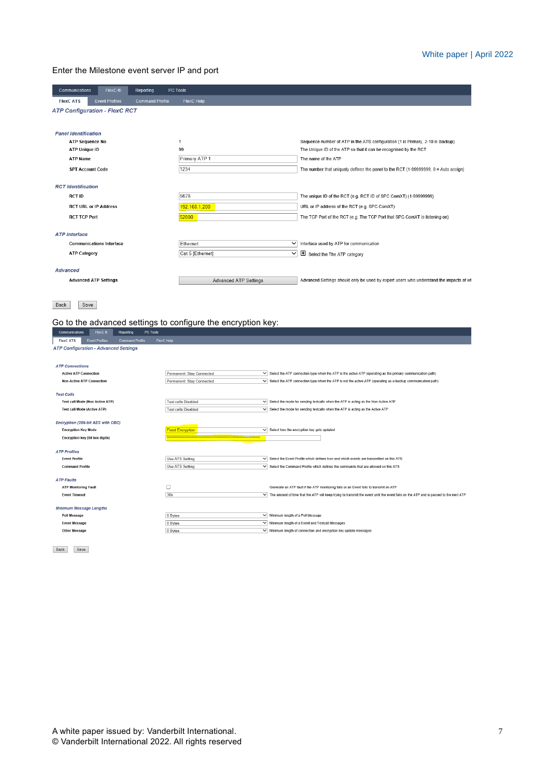#### Enter the Milestone event server IP and port

| <b>FlexC ATS</b><br><b>Event Profiles</b><br>FlexC Help<br><b>Command Profile</b><br><b>ATP Configuration - FlexC RCT</b><br><b>Panel Identification</b><br><b>ATP Sequence No</b><br>Sequence number of ATP in the ATS configuration (1 is Primary, 2-10 is Backup)<br>1<br><b>ATP Unique ID</b><br>99<br>The Unique ID of the ATP so that it can be recognised by the RCT<br>Primary ATP 1<br><b>ATP Name</b><br>The name of the ATP<br>1234<br><b>SPT Account Code</b><br><b>RCT</b> Identification<br>5678<br><b>RCT ID</b><br>The unique ID of the RCT (e.g. RCT ID of SPC ComXT) (1-99999999)<br><b>RCT URL or IP Address</b><br>192.168.1.200<br>URL or IP address of the RCT (e.g. SPC ComXT)<br><b>RCT TCP Port</b><br>52000<br>The TCP Port of the RCT (e.g. The TCP Port that SPC ComXT is listening on)<br><b>ATP</b> Interface<br><b>Communications Interface</b><br>Ethernet<br>$\checkmark$<br>Interface used by ATP for communication<br><b>ATP Category</b><br>Cat 5 [Ethernet]<br>$\checkmark$<br>Select the The ATP category<br><b>Advanced</b><br><b>Advanced ATP Settings</b><br><b>Advanced ATP Settings</b><br>Back<br>Save<br>Go to the advanced settings to configure the encryption key:<br>Communications FlexC <sup>®</sup><br>Reporting<br>PC Tools<br><b>Command Profile</b><br>FlexC Help<br><b>Event Profiles</b><br><b>FlexC ATS</b><br><b>ATP Configuration - Advanced Settings</b><br><b>ATP Connections</b><br><b>Active ATP Connection</b><br>Permanent: Stay Connected<br>$\vee$ Select the ATP connection type when the ATP is the active ATP (operating as the primary communication path)<br>$\overline{\vee}$ Select the ATP connection type when the ATP is not the active ATP (operating as a backup communication path)<br><b>Non-Active ATP Connection</b><br>Permanent: Stay Connected<br><b>Test Calls</b><br>Test call Mode (Non Active ATP)<br><b>Test calls Disabled</b><br>$\vee$ Select the mode for sending testcalls when the ATP is acting as the Non-Active ATP<br><b>Test call Mode (Active ATP)</b><br><b>Test calls Disabled</b><br>$\overline{\vee}$ Select the mode for sending testcalls when the ATP is acting as the Active ATP<br>Encryption (256-bit AES with CBC)<br><b>Encryption Key Mode</b><br>$\overline{\smile}$ Select how the encryption key gets updated<br><b>Fixed Encryption</b><br>Encryption key (64 hex digits)<br><b>ATP Profiles</b><br>$\overline{\vee}$ Select the Event Profile which defines how and which events are transmitted on this ATS<br><b>Event Profile</b><br>Use ATS Setting<br>$\overline{\vee}$ Select the Command Profile which defines the commands that are allowed on this ATS<br>Use ATS Setting<br><b>Command Profile</b><br><b>ATP Faults</b><br>$\Box$<br><b>ATP Monitoring Fault</b><br>Generate an ATP fault if the ATP monitoring fails or an Event fails to transmit on ATP<br>30s<br><b>Event Timeout</b><br>V The amount of time that the ATP will keep trying to transmit the event until the event fails on the ATP and is passed to the next ATP<br><b>Minimum Message Lengths</b><br>Poll Message<br>0 Bytes<br>Minimum length of a Poll Message | FlexC <sup>®</sup><br>Communications<br><b>Reporting</b> | <b>PC Tools</b> |                                                                                        |
|---------------------------------------------------------------------------------------------------------------------------------------------------------------------------------------------------------------------------------------------------------------------------------------------------------------------------------------------------------------------------------------------------------------------------------------------------------------------------------------------------------------------------------------------------------------------------------------------------------------------------------------------------------------------------------------------------------------------------------------------------------------------------------------------------------------------------------------------------------------------------------------------------------------------------------------------------------------------------------------------------------------------------------------------------------------------------------------------------------------------------------------------------------------------------------------------------------------------------------------------------------------------------------------------------------------------------------------------------------------------------------------------------------------------------------------------------------------------------------------------------------------------------------------------------------------------------------------------------------------------------------------------------------------------------------------------------------------------------------------------------------------------------------------------------------------------------------------------------------------------------------------------------------------------------------------------------------------------------------------------------------------------------------------------------------------------------------------------------------------------------------------------------------------------------------------------------------------------------------------------------------------------------------------------------------------------------------------------------------------------------------------------------------------------------------------------------------------------------------------------------------------------------------------------------------------------------------------------------------------------------------------------------------------------------------------------------------------------------------------------------------------------------------------------------------------------------------------------------------------------------------------------------------------------------------------------------------------------------------------------------------------------------------------------------------------------------------------------------------------------------------------------------------------------------|----------------------------------------------------------|-----------------|----------------------------------------------------------------------------------------|
|                                                                                                                                                                                                                                                                                                                                                                                                                                                                                                                                                                                                                                                                                                                                                                                                                                                                                                                                                                                                                                                                                                                                                                                                                                                                                                                                                                                                                                                                                                                                                                                                                                                                                                                                                                                                                                                                                                                                                                                                                                                                                                                                                                                                                                                                                                                                                                                                                                                                                                                                                                                                                                                                                                                                                                                                                                                                                                                                                                                                                                                                                                                                                                           |                                                          |                 |                                                                                        |
|                                                                                                                                                                                                                                                                                                                                                                                                                                                                                                                                                                                                                                                                                                                                                                                                                                                                                                                                                                                                                                                                                                                                                                                                                                                                                                                                                                                                                                                                                                                                                                                                                                                                                                                                                                                                                                                                                                                                                                                                                                                                                                                                                                                                                                                                                                                                                                                                                                                                                                                                                                                                                                                                                                                                                                                                                                                                                                                                                                                                                                                                                                                                                                           |                                                          |                 |                                                                                        |
|                                                                                                                                                                                                                                                                                                                                                                                                                                                                                                                                                                                                                                                                                                                                                                                                                                                                                                                                                                                                                                                                                                                                                                                                                                                                                                                                                                                                                                                                                                                                                                                                                                                                                                                                                                                                                                                                                                                                                                                                                                                                                                                                                                                                                                                                                                                                                                                                                                                                                                                                                                                                                                                                                                                                                                                                                                                                                                                                                                                                                                                                                                                                                                           |                                                          |                 |                                                                                        |
|                                                                                                                                                                                                                                                                                                                                                                                                                                                                                                                                                                                                                                                                                                                                                                                                                                                                                                                                                                                                                                                                                                                                                                                                                                                                                                                                                                                                                                                                                                                                                                                                                                                                                                                                                                                                                                                                                                                                                                                                                                                                                                                                                                                                                                                                                                                                                                                                                                                                                                                                                                                                                                                                                                                                                                                                                                                                                                                                                                                                                                                                                                                                                                           |                                                          |                 |                                                                                        |
|                                                                                                                                                                                                                                                                                                                                                                                                                                                                                                                                                                                                                                                                                                                                                                                                                                                                                                                                                                                                                                                                                                                                                                                                                                                                                                                                                                                                                                                                                                                                                                                                                                                                                                                                                                                                                                                                                                                                                                                                                                                                                                                                                                                                                                                                                                                                                                                                                                                                                                                                                                                                                                                                                                                                                                                                                                                                                                                                                                                                                                                                                                                                                                           |                                                          |                 |                                                                                        |
|                                                                                                                                                                                                                                                                                                                                                                                                                                                                                                                                                                                                                                                                                                                                                                                                                                                                                                                                                                                                                                                                                                                                                                                                                                                                                                                                                                                                                                                                                                                                                                                                                                                                                                                                                                                                                                                                                                                                                                                                                                                                                                                                                                                                                                                                                                                                                                                                                                                                                                                                                                                                                                                                                                                                                                                                                                                                                                                                                                                                                                                                                                                                                                           |                                                          |                 |                                                                                        |
|                                                                                                                                                                                                                                                                                                                                                                                                                                                                                                                                                                                                                                                                                                                                                                                                                                                                                                                                                                                                                                                                                                                                                                                                                                                                                                                                                                                                                                                                                                                                                                                                                                                                                                                                                                                                                                                                                                                                                                                                                                                                                                                                                                                                                                                                                                                                                                                                                                                                                                                                                                                                                                                                                                                                                                                                                                                                                                                                                                                                                                                                                                                                                                           |                                                          |                 |                                                                                        |
|                                                                                                                                                                                                                                                                                                                                                                                                                                                                                                                                                                                                                                                                                                                                                                                                                                                                                                                                                                                                                                                                                                                                                                                                                                                                                                                                                                                                                                                                                                                                                                                                                                                                                                                                                                                                                                                                                                                                                                                                                                                                                                                                                                                                                                                                                                                                                                                                                                                                                                                                                                                                                                                                                                                                                                                                                                                                                                                                                                                                                                                                                                                                                                           |                                                          |                 |                                                                                        |
|                                                                                                                                                                                                                                                                                                                                                                                                                                                                                                                                                                                                                                                                                                                                                                                                                                                                                                                                                                                                                                                                                                                                                                                                                                                                                                                                                                                                                                                                                                                                                                                                                                                                                                                                                                                                                                                                                                                                                                                                                                                                                                                                                                                                                                                                                                                                                                                                                                                                                                                                                                                                                                                                                                                                                                                                                                                                                                                                                                                                                                                                                                                                                                           |                                                          |                 | The number that uniquely defines the panel to the RCT (1-99999999, 0 = Auto assign)    |
|                                                                                                                                                                                                                                                                                                                                                                                                                                                                                                                                                                                                                                                                                                                                                                                                                                                                                                                                                                                                                                                                                                                                                                                                                                                                                                                                                                                                                                                                                                                                                                                                                                                                                                                                                                                                                                                                                                                                                                                                                                                                                                                                                                                                                                                                                                                                                                                                                                                                                                                                                                                                                                                                                                                                                                                                                                                                                                                                                                                                                                                                                                                                                                           |                                                          |                 |                                                                                        |
|                                                                                                                                                                                                                                                                                                                                                                                                                                                                                                                                                                                                                                                                                                                                                                                                                                                                                                                                                                                                                                                                                                                                                                                                                                                                                                                                                                                                                                                                                                                                                                                                                                                                                                                                                                                                                                                                                                                                                                                                                                                                                                                                                                                                                                                                                                                                                                                                                                                                                                                                                                                                                                                                                                                                                                                                                                                                                                                                                                                                                                                                                                                                                                           |                                                          |                 |                                                                                        |
|                                                                                                                                                                                                                                                                                                                                                                                                                                                                                                                                                                                                                                                                                                                                                                                                                                                                                                                                                                                                                                                                                                                                                                                                                                                                                                                                                                                                                                                                                                                                                                                                                                                                                                                                                                                                                                                                                                                                                                                                                                                                                                                                                                                                                                                                                                                                                                                                                                                                                                                                                                                                                                                                                                                                                                                                                                                                                                                                                                                                                                                                                                                                                                           |                                                          |                 |                                                                                        |
|                                                                                                                                                                                                                                                                                                                                                                                                                                                                                                                                                                                                                                                                                                                                                                                                                                                                                                                                                                                                                                                                                                                                                                                                                                                                                                                                                                                                                                                                                                                                                                                                                                                                                                                                                                                                                                                                                                                                                                                                                                                                                                                                                                                                                                                                                                                                                                                                                                                                                                                                                                                                                                                                                                                                                                                                                                                                                                                                                                                                                                                                                                                                                                           |                                                          |                 |                                                                                        |
|                                                                                                                                                                                                                                                                                                                                                                                                                                                                                                                                                                                                                                                                                                                                                                                                                                                                                                                                                                                                                                                                                                                                                                                                                                                                                                                                                                                                                                                                                                                                                                                                                                                                                                                                                                                                                                                                                                                                                                                                                                                                                                                                                                                                                                                                                                                                                                                                                                                                                                                                                                                                                                                                                                                                                                                                                                                                                                                                                                                                                                                                                                                                                                           |                                                          |                 |                                                                                        |
|                                                                                                                                                                                                                                                                                                                                                                                                                                                                                                                                                                                                                                                                                                                                                                                                                                                                                                                                                                                                                                                                                                                                                                                                                                                                                                                                                                                                                                                                                                                                                                                                                                                                                                                                                                                                                                                                                                                                                                                                                                                                                                                                                                                                                                                                                                                                                                                                                                                                                                                                                                                                                                                                                                                                                                                                                                                                                                                                                                                                                                                                                                                                                                           |                                                          |                 |                                                                                        |
|                                                                                                                                                                                                                                                                                                                                                                                                                                                                                                                                                                                                                                                                                                                                                                                                                                                                                                                                                                                                                                                                                                                                                                                                                                                                                                                                                                                                                                                                                                                                                                                                                                                                                                                                                                                                                                                                                                                                                                                                                                                                                                                                                                                                                                                                                                                                                                                                                                                                                                                                                                                                                                                                                                                                                                                                                                                                                                                                                                                                                                                                                                                                                                           |                                                          |                 |                                                                                        |
|                                                                                                                                                                                                                                                                                                                                                                                                                                                                                                                                                                                                                                                                                                                                                                                                                                                                                                                                                                                                                                                                                                                                                                                                                                                                                                                                                                                                                                                                                                                                                                                                                                                                                                                                                                                                                                                                                                                                                                                                                                                                                                                                                                                                                                                                                                                                                                                                                                                                                                                                                                                                                                                                                                                                                                                                                                                                                                                                                                                                                                                                                                                                                                           |                                                          |                 |                                                                                        |
|                                                                                                                                                                                                                                                                                                                                                                                                                                                                                                                                                                                                                                                                                                                                                                                                                                                                                                                                                                                                                                                                                                                                                                                                                                                                                                                                                                                                                                                                                                                                                                                                                                                                                                                                                                                                                                                                                                                                                                                                                                                                                                                                                                                                                                                                                                                                                                                                                                                                                                                                                                                                                                                                                                                                                                                                                                                                                                                                                                                                                                                                                                                                                                           |                                                          |                 |                                                                                        |
|                                                                                                                                                                                                                                                                                                                                                                                                                                                                                                                                                                                                                                                                                                                                                                                                                                                                                                                                                                                                                                                                                                                                                                                                                                                                                                                                                                                                                                                                                                                                                                                                                                                                                                                                                                                                                                                                                                                                                                                                                                                                                                                                                                                                                                                                                                                                                                                                                                                                                                                                                                                                                                                                                                                                                                                                                                                                                                                                                                                                                                                                                                                                                                           |                                                          |                 | Advanced Settings should only be used by expert users who understand the impacts of wh |
|                                                                                                                                                                                                                                                                                                                                                                                                                                                                                                                                                                                                                                                                                                                                                                                                                                                                                                                                                                                                                                                                                                                                                                                                                                                                                                                                                                                                                                                                                                                                                                                                                                                                                                                                                                                                                                                                                                                                                                                                                                                                                                                                                                                                                                                                                                                                                                                                                                                                                                                                                                                                                                                                                                                                                                                                                                                                                                                                                                                                                                                                                                                                                                           |                                                          |                 |                                                                                        |
|                                                                                                                                                                                                                                                                                                                                                                                                                                                                                                                                                                                                                                                                                                                                                                                                                                                                                                                                                                                                                                                                                                                                                                                                                                                                                                                                                                                                                                                                                                                                                                                                                                                                                                                                                                                                                                                                                                                                                                                                                                                                                                                                                                                                                                                                                                                                                                                                                                                                                                                                                                                                                                                                                                                                                                                                                                                                                                                                                                                                                                                                                                                                                                           |                                                          |                 |                                                                                        |
|                                                                                                                                                                                                                                                                                                                                                                                                                                                                                                                                                                                                                                                                                                                                                                                                                                                                                                                                                                                                                                                                                                                                                                                                                                                                                                                                                                                                                                                                                                                                                                                                                                                                                                                                                                                                                                                                                                                                                                                                                                                                                                                                                                                                                                                                                                                                                                                                                                                                                                                                                                                                                                                                                                                                                                                                                                                                                                                                                                                                                                                                                                                                                                           |                                                          |                 |                                                                                        |
|                                                                                                                                                                                                                                                                                                                                                                                                                                                                                                                                                                                                                                                                                                                                                                                                                                                                                                                                                                                                                                                                                                                                                                                                                                                                                                                                                                                                                                                                                                                                                                                                                                                                                                                                                                                                                                                                                                                                                                                                                                                                                                                                                                                                                                                                                                                                                                                                                                                                                                                                                                                                                                                                                                                                                                                                                                                                                                                                                                                                                                                                                                                                                                           |                                                          |                 |                                                                                        |
|                                                                                                                                                                                                                                                                                                                                                                                                                                                                                                                                                                                                                                                                                                                                                                                                                                                                                                                                                                                                                                                                                                                                                                                                                                                                                                                                                                                                                                                                                                                                                                                                                                                                                                                                                                                                                                                                                                                                                                                                                                                                                                                                                                                                                                                                                                                                                                                                                                                                                                                                                                                                                                                                                                                                                                                                                                                                                                                                                                                                                                                                                                                                                                           |                                                          |                 |                                                                                        |
|                                                                                                                                                                                                                                                                                                                                                                                                                                                                                                                                                                                                                                                                                                                                                                                                                                                                                                                                                                                                                                                                                                                                                                                                                                                                                                                                                                                                                                                                                                                                                                                                                                                                                                                                                                                                                                                                                                                                                                                                                                                                                                                                                                                                                                                                                                                                                                                                                                                                                                                                                                                                                                                                                                                                                                                                                                                                                                                                                                                                                                                                                                                                                                           |                                                          |                 |                                                                                        |
|                                                                                                                                                                                                                                                                                                                                                                                                                                                                                                                                                                                                                                                                                                                                                                                                                                                                                                                                                                                                                                                                                                                                                                                                                                                                                                                                                                                                                                                                                                                                                                                                                                                                                                                                                                                                                                                                                                                                                                                                                                                                                                                                                                                                                                                                                                                                                                                                                                                                                                                                                                                                                                                                                                                                                                                                                                                                                                                                                                                                                                                                                                                                                                           |                                                          |                 |                                                                                        |
|                                                                                                                                                                                                                                                                                                                                                                                                                                                                                                                                                                                                                                                                                                                                                                                                                                                                                                                                                                                                                                                                                                                                                                                                                                                                                                                                                                                                                                                                                                                                                                                                                                                                                                                                                                                                                                                                                                                                                                                                                                                                                                                                                                                                                                                                                                                                                                                                                                                                                                                                                                                                                                                                                                                                                                                                                                                                                                                                                                                                                                                                                                                                                                           |                                                          |                 |                                                                                        |
|                                                                                                                                                                                                                                                                                                                                                                                                                                                                                                                                                                                                                                                                                                                                                                                                                                                                                                                                                                                                                                                                                                                                                                                                                                                                                                                                                                                                                                                                                                                                                                                                                                                                                                                                                                                                                                                                                                                                                                                                                                                                                                                                                                                                                                                                                                                                                                                                                                                                                                                                                                                                                                                                                                                                                                                                                                                                                                                                                                                                                                                                                                                                                                           |                                                          |                 |                                                                                        |
|                                                                                                                                                                                                                                                                                                                                                                                                                                                                                                                                                                                                                                                                                                                                                                                                                                                                                                                                                                                                                                                                                                                                                                                                                                                                                                                                                                                                                                                                                                                                                                                                                                                                                                                                                                                                                                                                                                                                                                                                                                                                                                                                                                                                                                                                                                                                                                                                                                                                                                                                                                                                                                                                                                                                                                                                                                                                                                                                                                                                                                                                                                                                                                           |                                                          |                 |                                                                                        |
|                                                                                                                                                                                                                                                                                                                                                                                                                                                                                                                                                                                                                                                                                                                                                                                                                                                                                                                                                                                                                                                                                                                                                                                                                                                                                                                                                                                                                                                                                                                                                                                                                                                                                                                                                                                                                                                                                                                                                                                                                                                                                                                                                                                                                                                                                                                                                                                                                                                                                                                                                                                                                                                                                                                                                                                                                                                                                                                                                                                                                                                                                                                                                                           |                                                          |                 |                                                                                        |
|                                                                                                                                                                                                                                                                                                                                                                                                                                                                                                                                                                                                                                                                                                                                                                                                                                                                                                                                                                                                                                                                                                                                                                                                                                                                                                                                                                                                                                                                                                                                                                                                                                                                                                                                                                                                                                                                                                                                                                                                                                                                                                                                                                                                                                                                                                                                                                                                                                                                                                                                                                                                                                                                                                                                                                                                                                                                                                                                                                                                                                                                                                                                                                           |                                                          |                 |                                                                                        |
|                                                                                                                                                                                                                                                                                                                                                                                                                                                                                                                                                                                                                                                                                                                                                                                                                                                                                                                                                                                                                                                                                                                                                                                                                                                                                                                                                                                                                                                                                                                                                                                                                                                                                                                                                                                                                                                                                                                                                                                                                                                                                                                                                                                                                                                                                                                                                                                                                                                                                                                                                                                                                                                                                                                                                                                                                                                                                                                                                                                                                                                                                                                                                                           |                                                          |                 |                                                                                        |
|                                                                                                                                                                                                                                                                                                                                                                                                                                                                                                                                                                                                                                                                                                                                                                                                                                                                                                                                                                                                                                                                                                                                                                                                                                                                                                                                                                                                                                                                                                                                                                                                                                                                                                                                                                                                                                                                                                                                                                                                                                                                                                                                                                                                                                                                                                                                                                                                                                                                                                                                                                                                                                                                                                                                                                                                                                                                                                                                                                                                                                                                                                                                                                           |                                                          |                 |                                                                                        |
|                                                                                                                                                                                                                                                                                                                                                                                                                                                                                                                                                                                                                                                                                                                                                                                                                                                                                                                                                                                                                                                                                                                                                                                                                                                                                                                                                                                                                                                                                                                                                                                                                                                                                                                                                                                                                                                                                                                                                                                                                                                                                                                                                                                                                                                                                                                                                                                                                                                                                                                                                                                                                                                                                                                                                                                                                                                                                                                                                                                                                                                                                                                                                                           |                                                          |                 |                                                                                        |
|                                                                                                                                                                                                                                                                                                                                                                                                                                                                                                                                                                                                                                                                                                                                                                                                                                                                                                                                                                                                                                                                                                                                                                                                                                                                                                                                                                                                                                                                                                                                                                                                                                                                                                                                                                                                                                                                                                                                                                                                                                                                                                                                                                                                                                                                                                                                                                                                                                                                                                                                                                                                                                                                                                                                                                                                                                                                                                                                                                                                                                                                                                                                                                           |                                                          |                 |                                                                                        |
|                                                                                                                                                                                                                                                                                                                                                                                                                                                                                                                                                                                                                                                                                                                                                                                                                                                                                                                                                                                                                                                                                                                                                                                                                                                                                                                                                                                                                                                                                                                                                                                                                                                                                                                                                                                                                                                                                                                                                                                                                                                                                                                                                                                                                                                                                                                                                                                                                                                                                                                                                                                                                                                                                                                                                                                                                                                                                                                                                                                                                                                                                                                                                                           |                                                          |                 |                                                                                        |
|                                                                                                                                                                                                                                                                                                                                                                                                                                                                                                                                                                                                                                                                                                                                                                                                                                                                                                                                                                                                                                                                                                                                                                                                                                                                                                                                                                                                                                                                                                                                                                                                                                                                                                                                                                                                                                                                                                                                                                                                                                                                                                                                                                                                                                                                                                                                                                                                                                                                                                                                                                                                                                                                                                                                                                                                                                                                                                                                                                                                                                                                                                                                                                           |                                                          |                 |                                                                                        |
|                                                                                                                                                                                                                                                                                                                                                                                                                                                                                                                                                                                                                                                                                                                                                                                                                                                                                                                                                                                                                                                                                                                                                                                                                                                                                                                                                                                                                                                                                                                                                                                                                                                                                                                                                                                                                                                                                                                                                                                                                                                                                                                                                                                                                                                                                                                                                                                                                                                                                                                                                                                                                                                                                                                                                                                                                                                                                                                                                                                                                                                                                                                                                                           |                                                          |                 |                                                                                        |
| V Minimum length of a Event and Testcall Messages<br><b>Event Message</b><br>0 Bytes                                                                                                                                                                                                                                                                                                                                                                                                                                                                                                                                                                                                                                                                                                                                                                                                                                                                                                                                                                                                                                                                                                                                                                                                                                                                                                                                                                                                                                                                                                                                                                                                                                                                                                                                                                                                                                                                                                                                                                                                                                                                                                                                                                                                                                                                                                                                                                                                                                                                                                                                                                                                                                                                                                                                                                                                                                                                                                                                                                                                                                                                                      |                                                          |                 |                                                                                        |
| $\vee$ Minimum length of connection and encryption key update messages<br>Other Message<br>0 Bytes                                                                                                                                                                                                                                                                                                                                                                                                                                                                                                                                                                                                                                                                                                                                                                                                                                                                                                                                                                                                                                                                                                                                                                                                                                                                                                                                                                                                                                                                                                                                                                                                                                                                                                                                                                                                                                                                                                                                                                                                                                                                                                                                                                                                                                                                                                                                                                                                                                                                                                                                                                                                                                                                                                                                                                                                                                                                                                                                                                                                                                                                        |                                                          |                 |                                                                                        |
|                                                                                                                                                                                                                                                                                                                                                                                                                                                                                                                                                                                                                                                                                                                                                                                                                                                                                                                                                                                                                                                                                                                                                                                                                                                                                                                                                                                                                                                                                                                                                                                                                                                                                                                                                                                                                                                                                                                                                                                                                                                                                                                                                                                                                                                                                                                                                                                                                                                                                                                                                                                                                                                                                                                                                                                                                                                                                                                                                                                                                                                                                                                                                                           |                                                          |                 |                                                                                        |

Back Save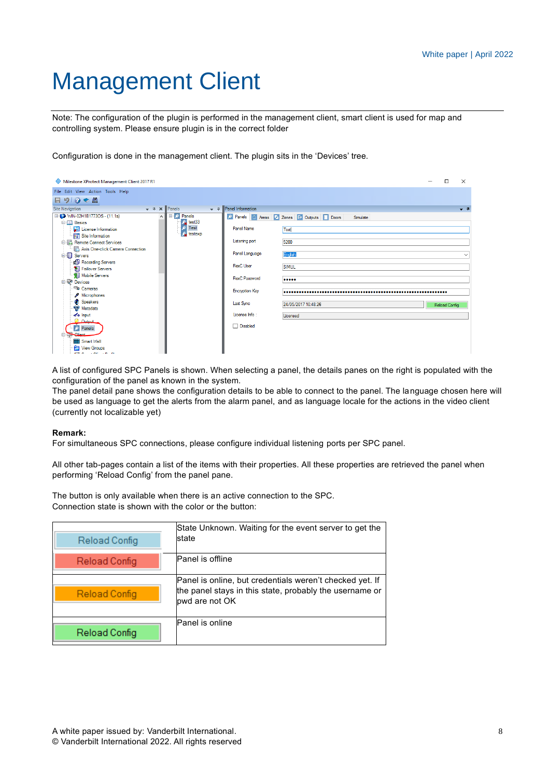# <span id="page-7-0"></span>Management Client

Note: The configuration of the plugin is performed in the management client, smart client is used for map and controlling system. Please ensure plugin is in the correct folder

Configuration is done in the management client. The plugin sits in the 'Devices' tree.

| File Edit View Action Tools Help<br>日りのや品<br>$\bullet$ <sup>p</sup> Panel Information<br>$\bullet$ $\uparrow$ $\times$ <b>Panels</b><br>Site Navigation<br>$-1$<br>□ ■ WIN-02H1B1773OS - (11.1a)<br><b>E</b> X Panels<br>Panels Areas 2 Zones C Outputs Doors<br>$\wedge$<br>Simulate<br>巌<br>test33<br><b>E-LLI</b> Basics<br>Test<br><b>Panel Name</b><br>License Information<br>Test<br>testexp<br><b>Excellent</b> Site Information<br>Listening port<br>5200<br><b>E</b> Remote Connect Services<br>Axis One-click Camera Connection<br>Panel Language<br><b>English</b><br>Servers<br>$\checkmark$<br>Recording Servers<br><b>FlexC</b> User<br><b>SIMUL</b><br>Failover Servers<br>Mobile Servers<br><b>FlexC Password</b><br><br><b>Devices</b><br>Cameras<br><b>Encryption Key</b><br>Microphones<br><b>C</b> Speakers<br><b>Last Sync</b><br>24/05/2017 10:48:26<br><b>Reload Config</b><br>Metadata<br>License Info:<br>do Input<br>Licensed<br><b>Cutrut</b><br>Disabled<br><b>X</b> Panels<br>اسمئلك<br>Smart Wall<br>a<br><b>View Groups</b> | Milestone XProtect Management Client 2017 R1 | п<br>$\times$ |
|------------------------------------------------------------------------------------------------------------------------------------------------------------------------------------------------------------------------------------------------------------------------------------------------------------------------------------------------------------------------------------------------------------------------------------------------------------------------------------------------------------------------------------------------------------------------------------------------------------------------------------------------------------------------------------------------------------------------------------------------------------------------------------------------------------------------------------------------------------------------------------------------------------------------------------------------------------------------------------------------------------------------------------------------------------|----------------------------------------------|---------------|
|                                                                                                                                                                                                                                                                                                                                                                                                                                                                                                                                                                                                                                                                                                                                                                                                                                                                                                                                                                                                                                                            |                                              |               |
|                                                                                                                                                                                                                                                                                                                                                                                                                                                                                                                                                                                                                                                                                                                                                                                                                                                                                                                                                                                                                                                            |                                              |               |
|                                                                                                                                                                                                                                                                                                                                                                                                                                                                                                                                                                                                                                                                                                                                                                                                                                                                                                                                                                                                                                                            |                                              |               |
| <b>Ellis London et al.</b>                                                                                                                                                                                                                                                                                                                                                                                                                                                                                                                                                                                                                                                                                                                                                                                                                                                                                                                                                                                                                                 |                                              |               |

A list of configured SPC Panels is shown. When selecting a panel, the details panes on the right is populated with the configuration of the panel as known in the system.

The panel detail pane shows the configuration details to be able to connect to the panel. The language chosen here will be used as language to get the alerts from the alarm panel, and as language locale for the actions in the video client (currently not localizable yet)

#### **Remark:**

For simultaneous SPC connections, please configure individual listening ports per SPC panel.

All other tab-pages contain a list of the items with their properties. All these properties are retrieved the panel when performing 'Reload Config' from the panel pane.

The button is only available when there is an active connection to the SPC. Connection state is shown with the color or the button:

| Reload Config | State Unknown. Waiting for the event server to get the<br>state                                                                       |
|---------------|---------------------------------------------------------------------------------------------------------------------------------------|
| Reload Config | Panel is offline                                                                                                                      |
| Reload Config | Panel is online, but credentials weren't checked yet. If<br>the panel stays in this state, probably the username or<br>pwd are not OK |
| Reload Config | Panel is online                                                                                                                       |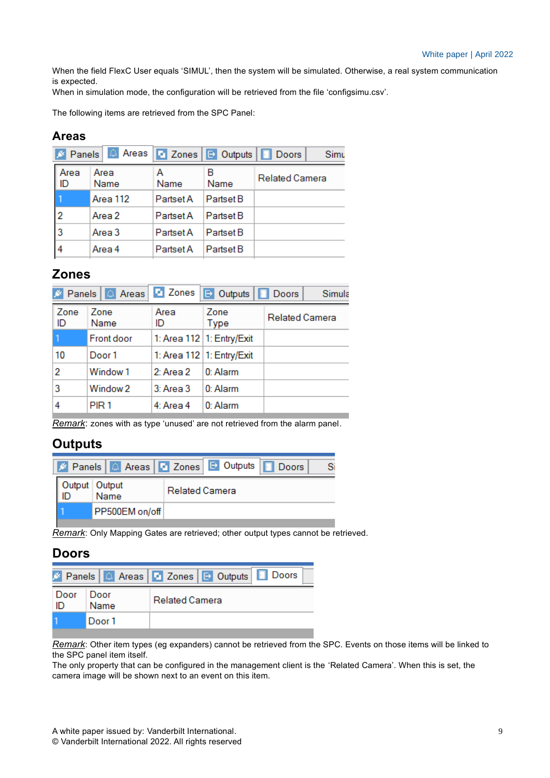When the field FlexC User equals 'SIMUL', then the system will be simulated. Otherwise, a real system communication is expected.

When in simulation mode, the configuration will be retrieved from the file 'configsimu.csv'.

The following items are retrieved from the SPC Panel:

#### **Areas**

|            | S Panels 4 Areas   Zones |           | <b>D</b> Outputs <b>D</b> Doors | Simu                  |
|------------|--------------------------|-----------|---------------------------------|-----------------------|
| Area<br>ID | Area<br>Name             | А<br>Name | в<br>Name                       | <b>Related Camera</b> |
|            | Area 112                 | Partset A | Partset B                       |                       |
| 2          | Area 2                   | Partset A | Partset B                       |                       |
| 13         | Area 3                   | Partset A | Partset B                       |                       |
|            | Area 4                   | Partset A | Partset B                       |                       |

#### **Zones**

|            | Panels   A Areas    | <b>D</b> Zones | Doors Doors                 |                       | Simula |
|------------|---------------------|----------------|-----------------------------|-----------------------|--------|
| Zone<br>ID | Zone<br>Name        | Area<br>ID     | Zone<br>Type                | <b>Related Camera</b> |        |
|            | <b>Front door</b>   |                | 1: Area 112   1: Entry/Exit |                       |        |
| 10         | Door 1              |                | 1: Area 112   1: Entry/Exit |                       |        |
| 2          | Window <sub>1</sub> | 2: Area 2      | 0: Alarm                    |                       |        |
| 3          | Window <sub>2</sub> | $3:$ Area $3$  | $0:$ Alarm                  |                       |        |
| 4          | PIR <sub>1</sub>    | 4: Area 4      | 0: Alarm                    |                       |        |

*Remark*: zones with as type 'unused' are not retrieved from the alarm panel.

#### **Outputs**

|  |                       | <b>X</b> Panels   Areas   Zones   DOUIDUIS   Doors |  |
|--|-----------------------|----------------------------------------------------|--|
|  | Output Output<br>Name | <b>Related Camera</b>                              |  |
|  | PP500EM on/off        |                                                    |  |

*Remark*: Only Mapping Gates are retrieved; other output types cannot be retrieved.

#### **Doors**

|              |              | S Panels   A Areas   B Zones   B Outputs   B Doors |
|--------------|--------------|----------------------------------------------------|
| ∣ Door<br>ID | Door<br>Name | <b>Related Camera</b>                              |
|              | Door 1       |                                                    |

*Remark*: Other item types (eg expanders) cannot be retrieved from the SPC. Events on those items will be linked to the SPC panel item itself.

The only property that can be configured in the management client is the 'Related Camera'. When this is set, the camera image will be shown next to an event on this item.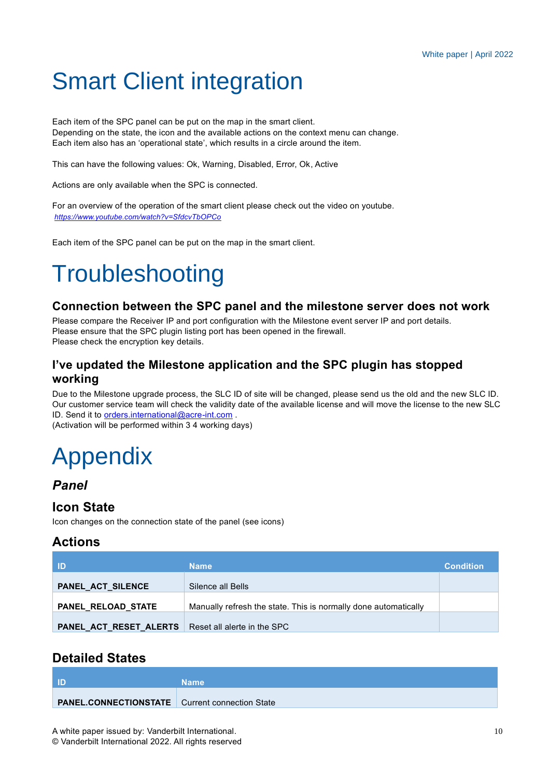# <span id="page-9-0"></span>Smart Client integration

Each item of the SPC panel can be put on the map in the smart client. Depending on the state, the icon and the available actions on the context menu can change. Each item also has an 'operational state', which results in a circle around the item.

This can have the following values: Ok, Warning, Disabled, Error, Ok, Active

Actions are only available when the SPC is connected.

For an overview of the operation of the smart client please check out the video on youtube. *<https://www.youtube.com/watch?v=SfdcvTbOPCo>*

Each item of the SPC panel can be put on the map in the smart client.

# **Troubleshooting**

#### **Connection between the SPC panel and the milestone server does not work**

Please compare the Receiver IP and port configuration with the Milestone event server IP and port details. Please ensure that the SPC plugin listing port has been opened in the firewall. Please check the encryption key details.

#### **I've updated the Milestone application and the SPC plugin has stopped working**

Due to the Milestone upgrade process, the SLC ID of site will be changed, please send us the old and the new SLC ID. Our customer service team will check the validity date of the available license and will move the license to the new SLC ID. Send it to [orders.international@acre-int.com](mailto:orders.international@acre-int.com) .

(Activation will be performed within 3 4 working days)

# <span id="page-9-1"></span>Appendix

#### <span id="page-9-2"></span>*Panel*

#### **Icon State**

Icon changes on the connection state of the panel (see icons)

#### **Actions**

| - ID                   | <b>Name</b>                                                     | <b>Condition</b> |
|------------------------|-----------------------------------------------------------------|------------------|
| PANEL_ACT_SILENCE      | Silence all Bells                                               |                  |
| PANEL RELOAD STATE     | Manually refresh the state. This is normally done automatically |                  |
| PANEL_ACT_RESET_ALERTS | Reset all alerte in the SPC                                     |                  |

#### **Detailed States**

| l ID                                                  | <b>Name</b> |
|-------------------------------------------------------|-------------|
| <b>PANEL.CONNECTIONSTATE</b> Current connection State |             |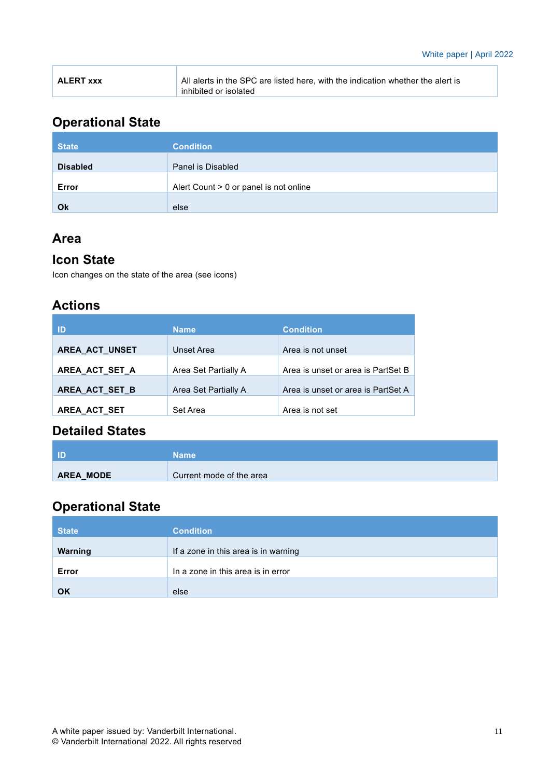| <b>ALERT XXX</b> | All alerts in the SPC are listed here, with the indication whether the alert is |
|------------------|---------------------------------------------------------------------------------|
|                  | inhibited or isolated                                                           |

## **Operational State**

| <b>State</b>    | <b>Condition</b>                       |
|-----------------|----------------------------------------|
| <b>Disabled</b> | Panel is Disabled                      |
|                 |                                        |
| Error           | Alert Count > 0 or panel is not online |
| Ok              | else                                   |

## **Area**

### **Icon State**

Icon changes on the state of the area (see icons)

## **Actions**

| ID                  | <b>Name</b>          | <b>Condition</b>                   |
|---------------------|----------------------|------------------------------------|
| AREA_ACT_UNSET      | Unset Area           | Area is not unset                  |
| AREA_ACT_SET_A      | Area Set Partially A | Area is unset or area is PartSet B |
| AREA_ACT_SET_B      | Area Set Partially A | Area is unset or area is PartSet A |
| <b>AREA ACT SET</b> | Set Area             | Area is not set                    |

## **Detailed States**

| <b>ID</b> | <b>Name</b>              |
|-----------|--------------------------|
| AREA_MODE | Current mode of the area |

## **Operational State**

| <b>State</b> | <b>Condition</b>                     |
|--------------|--------------------------------------|
| Warning      | If a zone in this area is in warning |
| Error        | In a zone in this area is in error   |
| OK           | else                                 |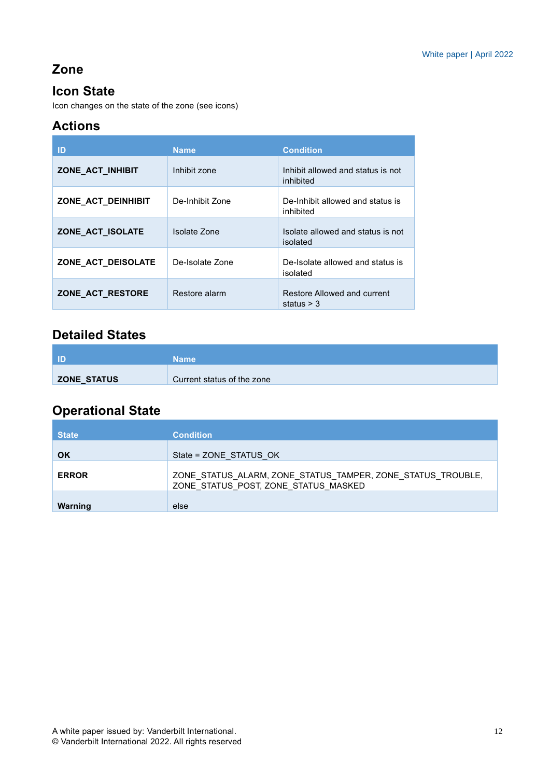## **Zone**

## **Icon State**

Icon changes on the state of the zone (see icons)

## **Actions**

| ID                 | <b>Name</b>     | <b>Condition</b>                               |
|--------------------|-----------------|------------------------------------------------|
| ZONE_ACT_INHIBIT   | Inhibit zone    | Inhibit allowed and status is not<br>inhibited |
| ZONE ACT DEINHIBIT | De-Inhibit Zone | De-Inhibit allowed and status is<br>inhibited  |
| ZONE ACT ISOLATE   | Isolate Zone    | Isolate allowed and status is not<br>isolated  |
| ZONE ACT DEISOLATE | De-Isolate Zone | De-Isolate allowed and status is<br>isolated   |
| ZONE ACT RESTORE   | Restore alarm   | Restore Allowed and current<br>status $>$ 3    |

## **Detailed States**

|             | <b>Name</b>                |
|-------------|----------------------------|
| ZONE_STATUS | Current status of the zone |

## **Operational State**

| <b>State</b> | <b>Condition</b>                                                                                    |
|--------------|-----------------------------------------------------------------------------------------------------|
| <b>OK</b>    | State = ZONE STATUS OK                                                                              |
| <b>ERROR</b> | ZONE_STATUS_ALARM, ZONE_STATUS_TAMPER, ZONE_STATUS_TROUBLE,<br>ZONE_STATUS_POST, ZONE_STATUS_MASKED |
| Warning      | else                                                                                                |